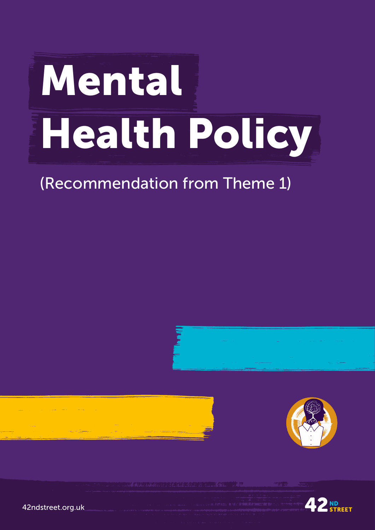# Mental Health Policy

## (Recommendation from Theme 1)









42ndstreet.org.uk